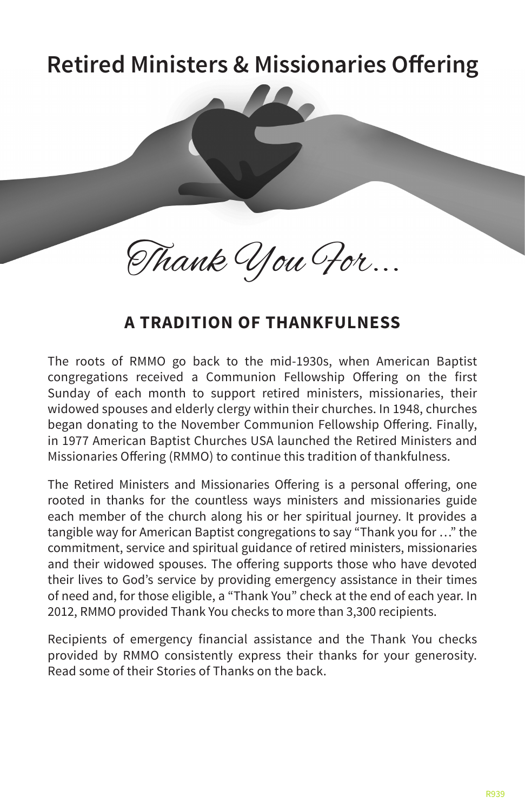# **Retired Ministers & Missionaries Offering Retired Ministers & Missionaries Offering**

Thank You For...

# **A TRADITION OF THANKFULNESS** A TRADITION OF THANKFULNESS

The roots of RMMO go back to the mid-1930s, when American Baptist congregations received a Communion Fellowship Offering on the first Sunday of each month to support retired ministers, missionaries, their widowed spouses and elderly clergy within their churches. In 1948, churches began donating to the November Communion Fellowship Offering. Finally, in 1977 American Baptist Churches USA launched the Retired Ministers and Missionaries Offering (RMMO) to continue this tradition of thankfulness.

The Retired Ministers and Missionaries Offering is a personal offering, one rooted in thanks for the countless ways ministers and missionaries guide each member of the church along his or her spiritual journey. It provides a tangible way for American Baptist congregations to say "Thank you for …" the commitment, service and spiritual guidance of retired ministers, missionaries and their widowed spouses. The offering supports those who have devoted their lives to God's service by providing emergency assistance in their times of need and, for those eligible, a "Thank You" check at the end of each year. In 2012, RMMO provided Thank You checks to more than 3,300 recipients.

Recipients of emergency financial assistance and the Thank You checks provided by RMMO consistently express their thanks for your generosity. Read some of their Stories of Thanks on the back.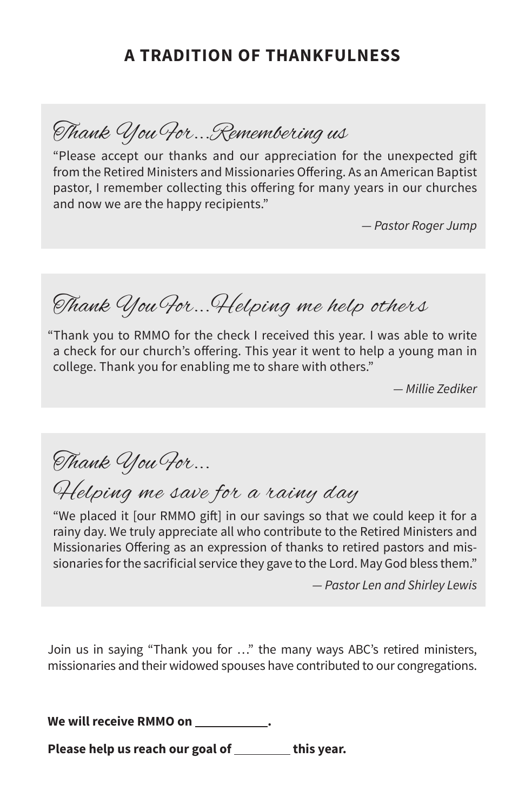### **A TRADITION OF THANKFULNESS**

Thank You For...Remembering us

"Please accept our thanks and our appreciation for the unexpected gift from the Retired Ministers and Missionaries Offering. As an American Baptist pastor, I remember collecting this offering for many years in our churches and now we are the happy recipients."

*— Pastor Roger Jump*

Thank You For...Helping me help others

"Thank you to RMMO for the check I received this year. I was able to write a check for our church's offering. This year it went to help a young man in college. Thank you for enabling me to share with others."

*— Millie Zediker*

Thank You For...

Helping me save for a rainy day

"We placed it [our RMMO gift] in our savings so that we could keep it for a rainy day. We truly appreciate all who contribute to the Retired Ministers and Missionaries Offering as an expression of thanks to retired pastors and missionaries for the sacrificial service they gave to the Lord. May God bless them."

*— Pastor Len and Shirley Lewis*

Join us in saying "Thank you for …" the many ways ABC's retired ministers, missionaries and their widowed spouses have contributed to our congregations.

We will receive RMMO on **the same of the set of the set of the set of the set of the set of the set of the set o** 

Please help us reach our goal of **this year.** This year.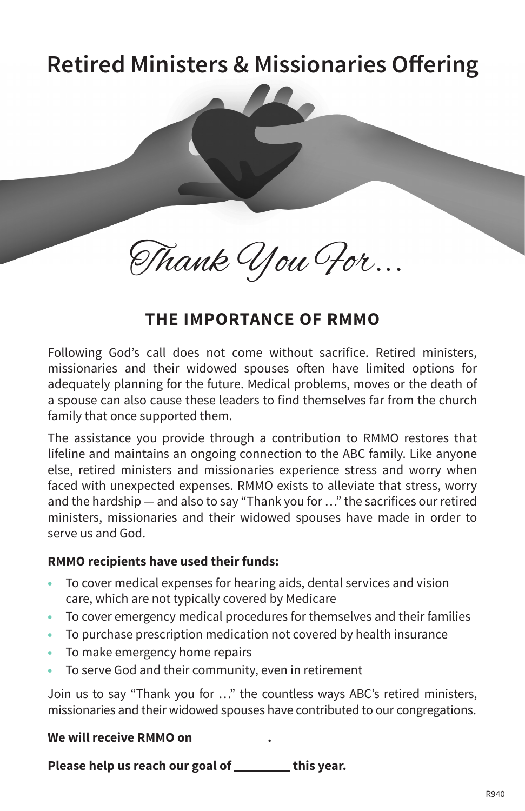# **Retired Ministers & Missionaries Offering Retired Ministers & Missionaries Offering**

Thank You For...

### **THE IMPORTANCE OF RMMO**

THE IMPORTANCE OF RMMO<br>Following God's call does not come without sacrifice. Retired ministers, missionaries and their widowed spouses often have limited options for adequately planning for the future. Medical problems, moves or the death of a spouse can also cause these leaders to find themselves far from the church family that once supported them.

The assistance you provide through a contribution to RMMO restores that lifeline and maintains an ongoing connection to the ABC family. Like anyone else, retired ministers and missionaries experience stress and worry when faced with unexpected expenses. RMMO exists to alleviate that stress, worry and the hardship — and also to say "Thank you for …" the sacrifices our retired ministers, missionaries and their widowed spouses have made in order to serve us and God.

#### **RMMO recipients have used their funds:**

- To cover medical expenses for hearing aids, dental services and vision care, which are not typically covered by Medicare
- To cover emergency medical procedures for themselves and their families
- **•**  To purchase prescription medication not covered by health insurance
- **•**  To make emergency home repairs
- To serve God and their community, even in retirement

Join us to say "Thank you for …" the countless ways ABC's retired ministers, missionaries and their widowed spouses have contributed to our congregations.

#### **We will receive RMMO on .**

Please help us reach our goal of **with the same of the year.**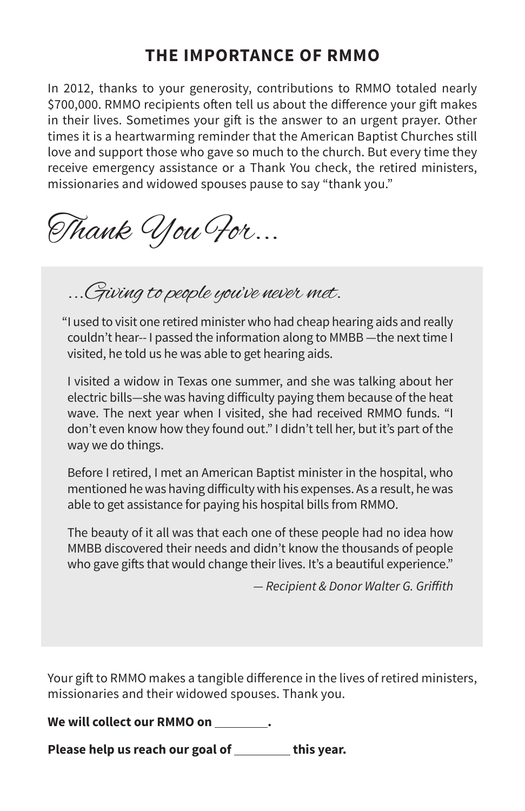## **THE IMPORTANCE OF RMMO**

In 2012, thanks to your generosity, contributions to RMMO totaled nearly \$700,000. RMMO recipients often tell us about the difference your gift makes in their lives. Sometimes your gift is the answer to an urgent prayer. Other times it is a heartwarming reminder that the American Baptist Churches still love and support those who gave so much to the church. But every time they receive emergency assistance or a Thank You check, the retired ministers, missionaries and widowed spouses pause to say "thank you."

Thank You For...

...Giving to people you've never met.

"I used to visit one retired minister who had cheap hearing aids and really couldn't hear-- I passed the information along to MMBB —the next time I visited, he told us he was able to get hearing aids.

I visited a widow in Texas one summer, and she was talking about her electric bills—she was having difficulty paying them because of the heat wave. The next year when I visited, she had received RMMO funds. "I don't even know how they found out." I didn't tell her, but it's part of the way we do things.

Before I retired, I met an American Baptist minister in the hospital, who mentioned he was having difficulty with his expenses. As a result, he was able to get assistance for paying his hospital bills from RMMO.

The beauty of it all was that each one of these people had no idea how MMBB discovered their needs and didn't know the thousands of people who gave gifts that would change their lives. It's a beautiful experience."

— Recipient & Donor Walter G. Griffith

Your gift to RMMO makes a tangible difference in the lives of retired ministers, missionaries and their widowed spouses. Thank you.

We will collect our RMMO on \_\_\_\_\_\_\_\_.

Please help us reach our goal of **the same of the same of the vear.**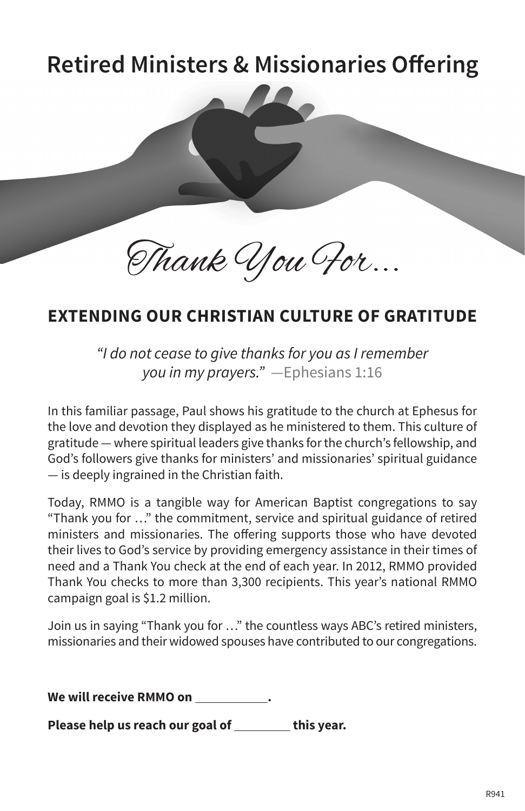# **Retired Ministers & Missionaries Offering Retired Ministers & Missionaries Offering**

Thank You For...

# **EXTENDING OUR CHRISTIAN CULTURE OF GRATITUDE EXEMPING OUR CHRISTIAN CULTURE OF GRATITUL**<br>International Consect of thank of thanks for you as I remember

*"I do not cease to give thanks for you as I remember you in my prayers."* —Ephesians 1:16

In this familiar passage, Paul shows his gratitude to the church at Ephesus for the love and devotion they displayed as he ministered to them. This culture of gratitude — where spiritual leaders give thanks for the church's fellowship, and God's followers give thanks for ministers' and missionaries' spiritual guidance — is deeply ingrained in the Christian faith.

Today, RMMO is a tangible way for American Baptist congregations to say "Thank you for …" the commitment, service and spiritual guidance of retired ministers and missionaries. The offering supports those who have devoted their lives to God's service by providing emergency assistance in their times of need and a Thank You check at the end of each year. In 2012, RMMO provided Thank You checks to more than 3,300 recipients. This year's national RMMO campaign goal is \$1.2 million.

Join us in saying "Thank you for …" the countless ways ABC's retired ministers, missionaries and their widowed spouses have contributed to our congregations.

**We will receive RMMO on .** 

Please help us reach our goal of **the same of the same of the vear.**